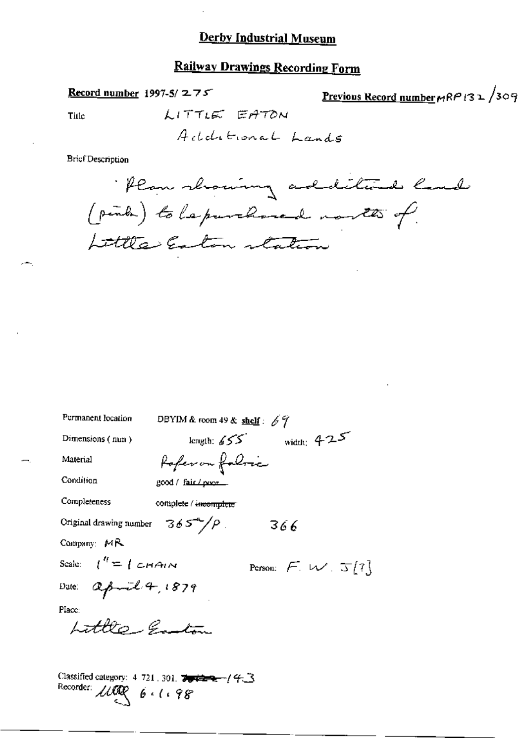#### **Railway Drawings Recording Form**

Record number 1997-5/ $275$ 

Previous Record number MRP132/309

Title

LITTLE EATON Additional Lands

**Brief Description** 

· Plan showing additional land (pinka) to la purchased north of Little Easton station

| Permanent location                           | DBYIM & room 49 & shelf : $69$ |     |                            |
|----------------------------------------------|--------------------------------|-----|----------------------------|
| Dimensions (mm)                              | length: $\angle$ 55            |     | width: $425$               |
| Material                                     | Poferon folmi                  |     |                            |
| Condition                                    | good / fair / prox             |     |                            |
| Completeness                                 | complete / incomplete          |     |                            |
| Original drawing number $365^{\circ}/\rho$ . |                                | 366 |                            |
| Company: $MR$                                |                                |     |                            |
| Scale: $l'' = l$ CHAIN                       |                                |     | Person: $F W \propto 5[7]$ |
| Date: april 4, 1879                          |                                |     |                            |
| Place:                                       |                                |     |                            |
| Little-Gautin                                |                                |     |                            |
|                                              |                                |     |                            |
|                                              |                                |     |                            |

Classified category: 4-721, 301, 7942-2-1/43 Recorder: May 6.1.98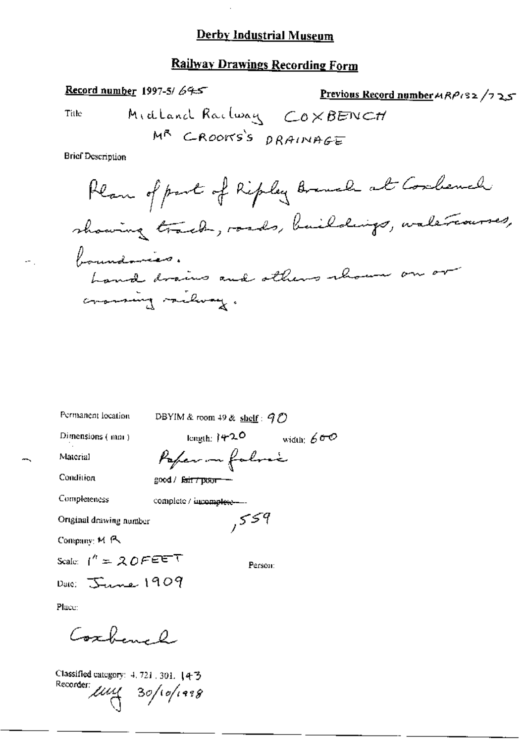#### **Railway Drawings Recording Form**

Record number 1997-5/64-5 Previous Record number 4 RP182 /7 25 Midland Railway COXBENCH Title MR CROOKS'S DRAINAGE **Brief Description** Plan of part of Ripley Branch at Cordenal

Permanent location DBYIM & room 49 & shelf:  $90$ length:  $420$  width:  $600$ Dimensions (mm) Poper in falmic Material Condition good / fair / poor -Completeness complete / incomplete ---,559 Ortginal drawing number Company: M R Scale:  $1'' = 20FET$ Person: Date: June 1909 Place: Coxhand

Classified category: 4, 721, 301. 【4-3 Recorder  $\mu$  $\mu$  30/10/1998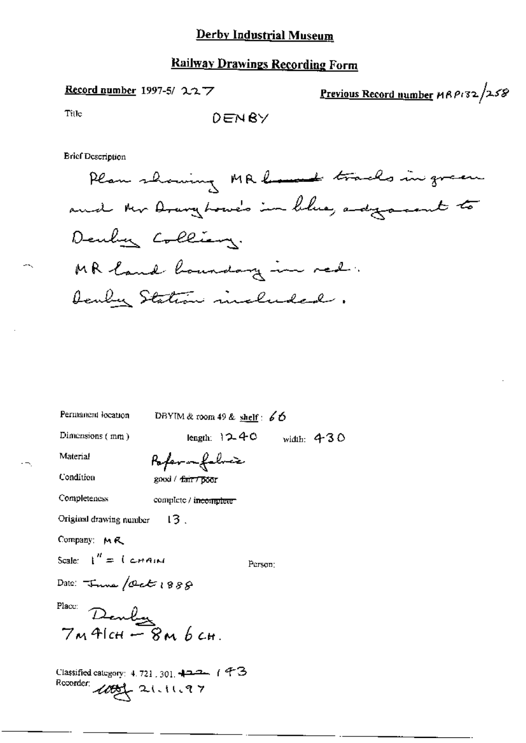#### **Railway Drawings Recording Form**

Record number 1997-5/227

Previous Record number MRP132/258

Tille

**Brief Description** 

Plan showing MR home tracks in green and the Drang Lowe's in blue, adjourned to Deuby Colliany. MR land hourday in red. Deuber Station included.

Permanent location DBYIM & room 49 & shelf:  $66$ 

Dimensions  $(mn)$ 

length:  $12-40$  width:  $430$ 

Material

Condition

Completeness

Poper nefelric good / fair7 poor

complete / incomplete

Original drawing number  $13.$ 

Company: MR

Scale:  $1'' = 1$  chain

Person:

Date:  $T_{\text{true}}/det(988)$ 

Place:

 $\frac{1}{2}$  Denly  $\frac{1}{2}$ <br> $\frac{1}{2}$  M AlcH  $\frac{1}{2}$   $\frac{1}{2}$  M b cH.

Classified category:  $4.721,301$ ,  $422 - 1$  +  $73$ Recorder: 1000 21.11.97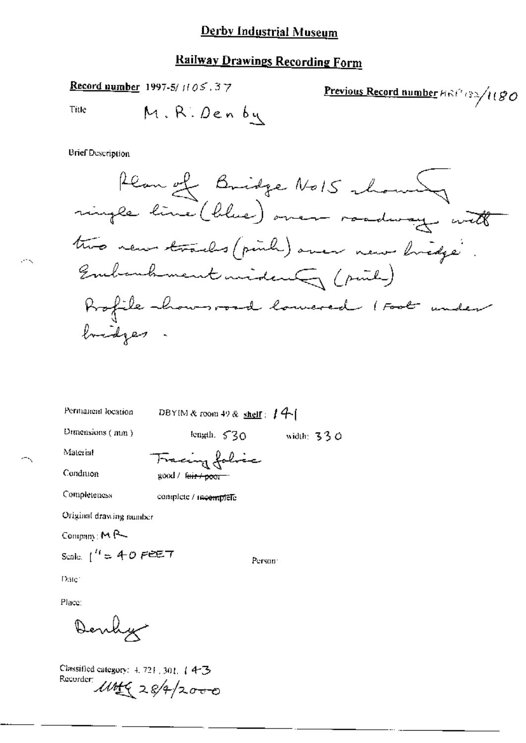# Railway Drawings Recording Form

Record number 1997-5/1105.37

Previous Record number 
$$
Hint
$$
 (80)

Title

у.

**Brief Description** 

Permanent location

DBYIM & room 49 & shelf:  $14$ 

Dunensions (mm)

length,  $530$  width:  $330$ 

Material

Condition

Completeness

Tracing folice good / feir / poor

complete / meemplefe

Original drawing number

Company: MR

Scale:  $1^{H} = 40$  Fee  $T$ 

Person<sup>.</sup>

Date:

Place:

Denly

Classified category: 4, 721, 301, 14-3-Recorder: UMG 28/4/2000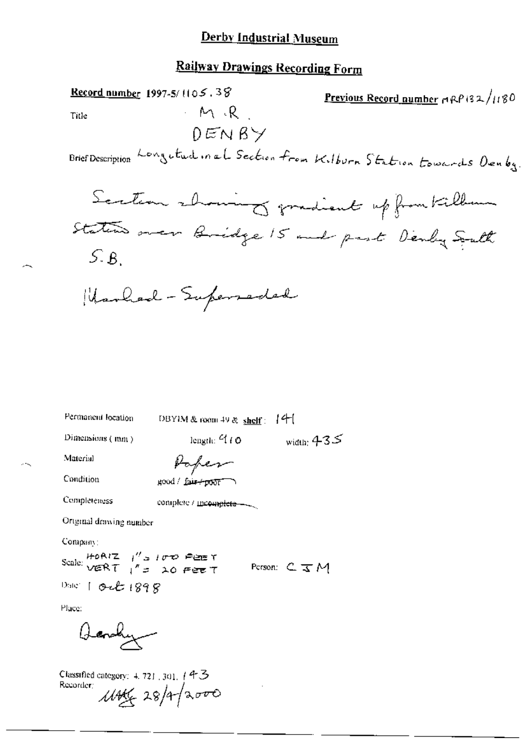# Railway Drawings Recording Form

يبدر

 $\sim$   $\sim$ 

| Record number 1997-5/1105.38<br>Previous Record number ARP 132/1180<br>$-M/R$<br>Title |
|----------------------------------------------------------------------------------------|
| DENBY<br>Brief Description Longutud in al Section from Kilburn Station towards Denby.  |
| Scation showing gradient up from Killen                                                |
| Station over Bridge 15 and part Denby South<br>5.8                                     |
| Marhad - Superseded                                                                    |
|                                                                                        |
|                                                                                        |
| Permanent location<br>- 14-1<br>DBYIM & room $49 \& \text{ shell}$ :                   |
| Dimensions (mm)<br>length: $-110$<br>width: $435$                                      |
| Material<br>Poper                                                                      |
| Condition<br>good / fair+poor )                                                        |
| Completeness<br>complete / meemplete -                                                 |
| Ortgraal drawing number                                                                |
| Company:                                                                               |
| Scale: $HOR/Z$ $H'S$ $IUT$ $PQ = T$<br>$VERT$ $H'S$ $AQ$ $PQ = T$<br>Person: C. J M    |
| Date: 1 Oct 1898                                                                       |
| Place:                                                                                 |
|                                                                                        |
| Classified category: 4.721, 301, 143<br>1146628/4/2000<br>Recorder:                    |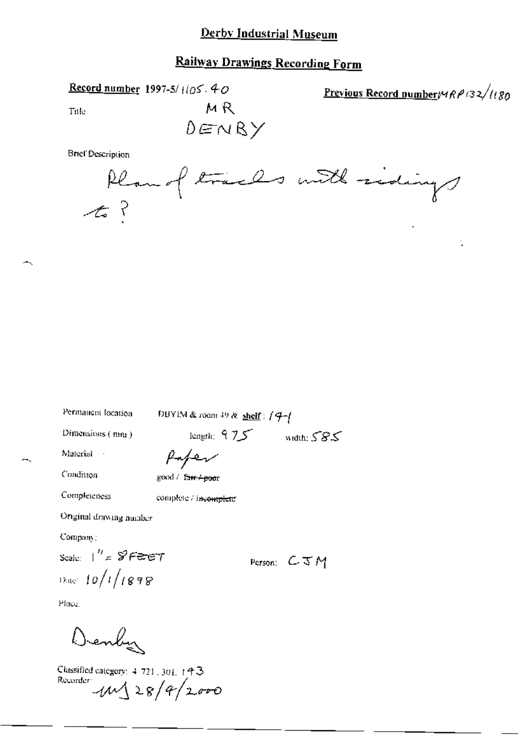#### **Railway Drawings Recording Form**

Record number 1997-5/1/05.40

Previous Record number  $\frac{\mu}{R}$  (32/1180)

t.

Title

MR  $0 \in N$ RY

**Brief Description** 

|          | Plan of traces with sidings |  |  |
|----------|-----------------------------|--|--|
| $\tau$ ? |                             |  |  |

Permanent location

DBYIM & room 49 & shelf:  $/9$   $/$ 

length:  $975$  width;  $585$ 

Dimensions (mm)

Material

Condition

fafer good / fa<del>ir 4poor</del>

Completeness

complete / incomplete

Original drawing number

Company:

Scale:  $\frac{1}{2}$  /  $\frac{1}{2}$  /  $\frac{1}{2}$  /  $\frac{1}{2}$  $0.08$  10/1/1898

Place.

Denby

Classified category: 4-721, 301, 143 Recorder  $11 \times 8/4/2000$ 

Person:  $C \mathcal{I} M$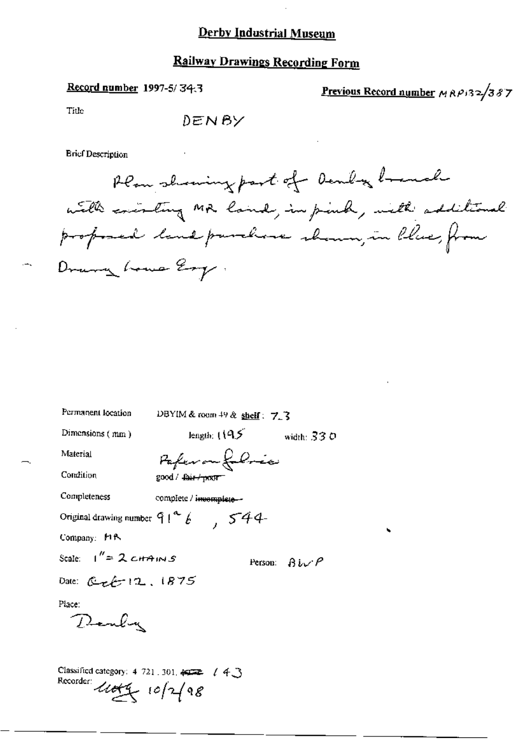# Railway Drawings Recording Form

## Record number 1997-5/34.3

Previous Record number MRP132/387

Title

 $\overline{a}$ 

**Brief Description** 

| Permanent location                                                                               | DBYIM & room $49$ & shelf: 7.3         |                                 |
|--------------------------------------------------------------------------------------------------|----------------------------------------|---------------------------------|
| Dimensions (mm)                                                                                  | length: $(19.5)$                       | width: $330$                    |
| Material                                                                                         | Paferon folice                         |                                 |
| Condition                                                                                        | good / <del>fair / poxtr -</del>       |                                 |
| Completeness                                                                                     | complete / i <del>ncomplete -</del>    |                                 |
|                                                                                                  | Original drawing number $91^46$ , 544- |                                 |
| Company: MR                                                                                      |                                        |                                 |
| Scale: $1'' = 2 \text{cmains}$                                                                   |                                        | Person: $\beta \iota \vee \rho$ |
| Date: $C_{\mathcal{F}}(2, 12, 1875)$                                                             |                                        |                                 |
| Place:<br>Denby                                                                                  |                                        |                                 |
| Classified category: $4/721$ , $301$ , $\overline{49222}$ $/4\sqrt{3}$<br>Recorder: Util 10/2/98 |                                        |                                 |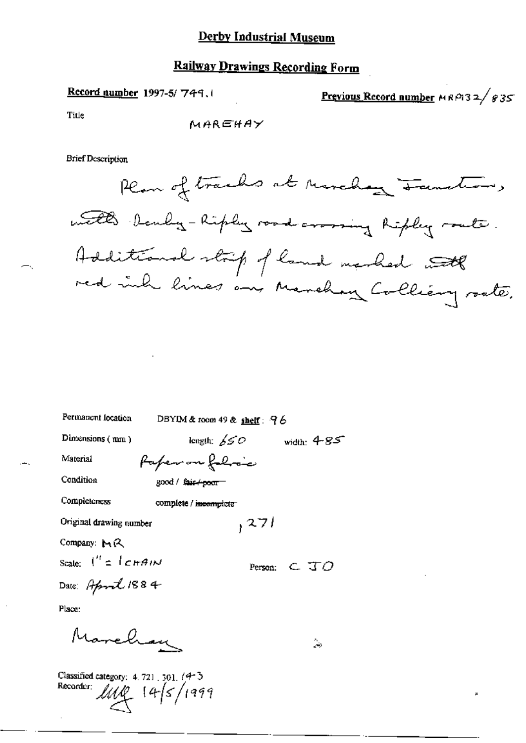# **Railway Drawings Recording Form**

Record number 1997-5/749.1

Previous Record number  $MRP132/g35$ 

Title

**Brief Description** 

 $\omega_{\rm 0}$ 

| Permanent location                     | DBYIM & room 49 & shelf: $96$ |                                           |
|----------------------------------------|-------------------------------|-------------------------------------------|
| Dimensions (mm)                        | length: $\cancel{SSO}$        | width: $4 - 85$                           |
| Material                               | fafer on folice               |                                           |
| Condition                              | good / <del>fair / poor</del> |                                           |
| Completeness                           | complete / incomplete         |                                           |
| Original drawing number                | , 271                         |                                           |
| Company: $M$ $(2)$                     |                               |                                           |
| Scale: $\int'' 1$ $c$ $H$ $\theta$ $N$ |                               | Person: $C$ $\overline{J}$ $\overline{O}$ |
| Date: April 1884                       |                               |                                           |
| Place:                                 |                               |                                           |

Marchan

Classified category: 4.721, 301, 14-3 Recorder;  $145/1999$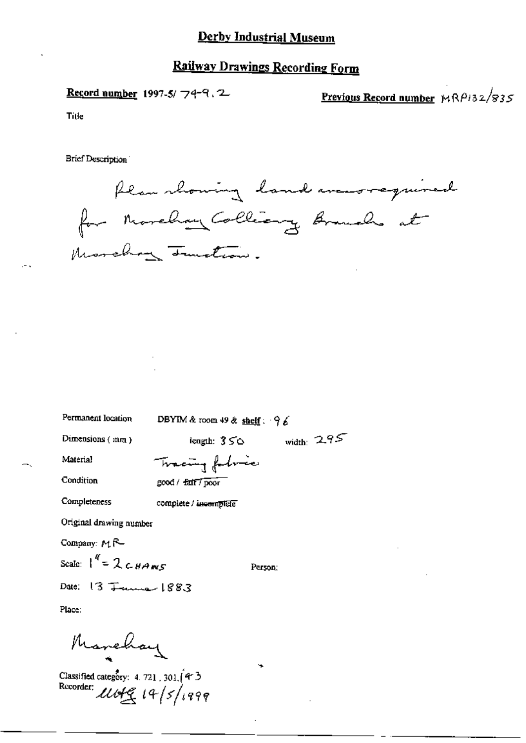#### **Railway Drawings Recording Form**

Record number 1997-5/74-9.2

Previous Record number  $MRP132/835$ 

Title

Brief Description

flam showing land averyword for Morelian Colliance Branch at Morchan Junction.

Permanent location

DBYIM & room 49 & shelf:  $96$ 

Person:

width:  $295$ 

Dimensions (mm)

length:  $350$ 

Material

Condition

Tracing follows good / fait / poor

Completeness

complete / incomplete

Original drawing number

Company: M.R-

Scale:  $\int_0^{\pi} = 2cHAnsc$ 

Date: 13 June 1883

Place:

Marchay

Classified category: 4, 721, 301. (4-3 Recorder: 11049 19/5/1999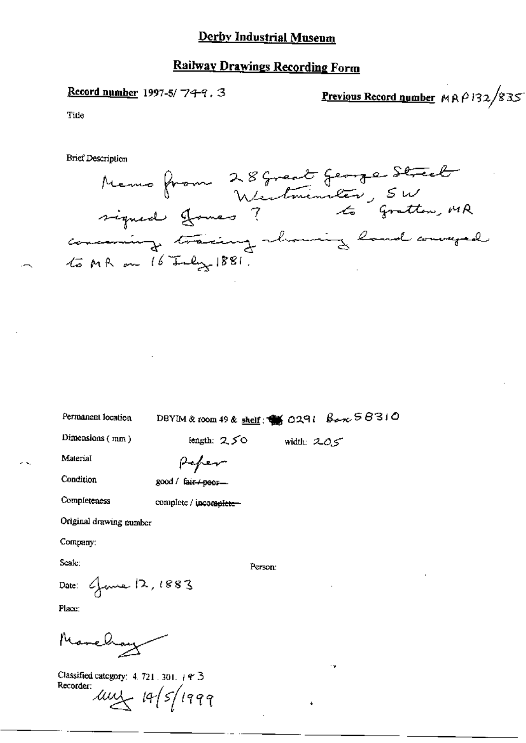#### **Railway Drawings Recording Form**

Record number 1997-5/ $749.3$ 

Previous Record number  $MAP132/835$ 

Title

**Brief Description** 



Permanent location

## DBYIM & room 49 & shelf:  $\frac{dS}{dS}$  0291  $\frac{B}{dS}$  0290  $\frac{C}{dS}$  6310

Person:

Dimensions  $(mn)$ 

length:  $250$  width:  $205$ 

Material

Peper

complete / incomplete-

Condition

Completeness

good / fair + peer-

Original drawing number

Company:

Scale:

Date: June 12, 1883

Place:

Marchay

Classified category: 4.721.301. + 9 3 Recorder: ULL 19/5/1999